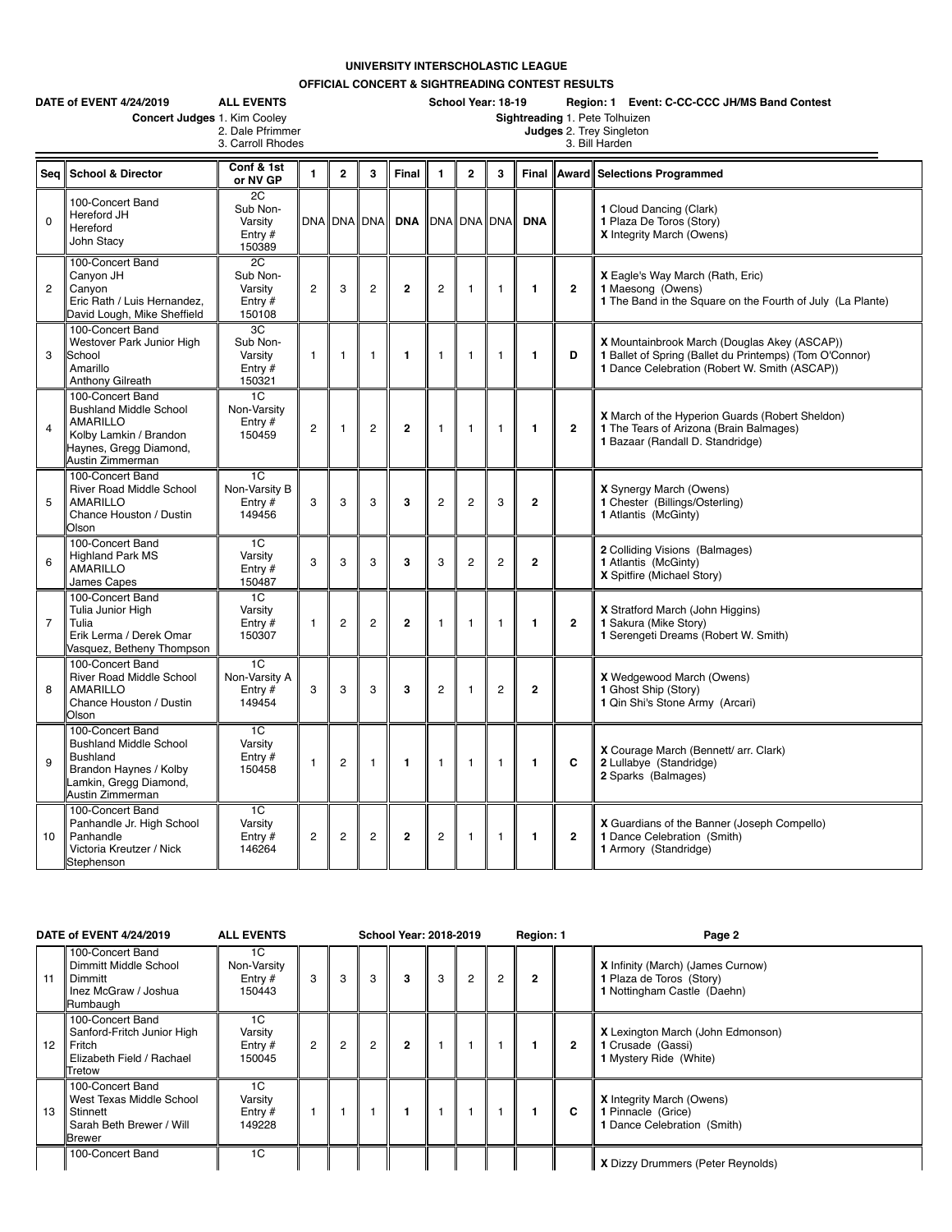## **UNIVERSITY INTERSCHOLASTIC LEAGUE**

**OFFICIAL CONCERT & SIGHTREADING CONTEST RESULTS**

|                | DATE of EVENT 4/24/2019<br><b>ALL EVENTS</b>                                                                                                 |                                                         |                |                    |                | School Year: 18-19<br>Region: 1 Event: C-CC-CCC JH/MS Band Contest<br>Sightreading 1. Pete Tolhuizen |                |                                            |                |                |                |                                                                                                                                                          |  |  |  |  |  |
|----------------|----------------------------------------------------------------------------------------------------------------------------------------------|---------------------------------------------------------|----------------|--------------------|----------------|------------------------------------------------------------------------------------------------------|----------------|--------------------------------------------|----------------|----------------|----------------|----------------------------------------------------------------------------------------------------------------------------------------------------------|--|--|--|--|--|
|                | Concert Judges 1. Kim Cooley                                                                                                                 | 2. Dale Pfrimmer<br>3. Carroll Rhodes                   |                |                    |                |                                                                                                      |                | Judges 2. Trey Singleton<br>3. Bill Harden |                |                |                |                                                                                                                                                          |  |  |  |  |  |
| Seq            | <b>School &amp; Director</b>                                                                                                                 | Conf & 1st<br>or NV GP                                  | $\mathbf{1}$   | $\overline{2}$     | 3              | <b>Final</b>                                                                                         | $\mathbf{1}$   | $\overline{2}$                             | 3              | Final          |                | Award Selections Programmed                                                                                                                              |  |  |  |  |  |
| $\mathbf 0$    | 100-Concert Band<br>Hereford JH<br>Hereford<br>John Stacy                                                                                    | 2C<br>Sub Non-<br>Varsity<br>Entry #<br>150389          |                | <b>DNA DNA DNA</b> |                | <b>DNA</b>                                                                                           | DNA DNA DNA    |                                            |                | <b>DNA</b>     |                | 1 Cloud Dancing (Clark)<br>1 Plaza De Toros (Story)<br>X Integrity March (Owens)                                                                         |  |  |  |  |  |
| $\overline{c}$ | 100-Concert Band<br>Canyon JH<br>Canyon<br>Eric Rath / Luis Hernandez.<br>David Lough, Mike Sheffield                                        | 2C<br>Sub Non-<br>Varsity<br>Entry $#$<br>150108        | $\overline{2}$ | 3                  | $\overline{2}$ | $\overline{2}$                                                                                       | $\overline{2}$ | $\mathbf{1}$                               | $\mathbf{1}$   | 1              | $\overline{2}$ | X Eagle's Way March (Rath, Eric)<br>1 Maesong (Owens)<br>1 The Band in the Square on the Fourth of July (La Plante)                                      |  |  |  |  |  |
| 3              | 100-Concert Band<br>Westover Park Junior High<br>School<br>Amarillo<br>Anthony Gilreath                                                      | 3C<br>Sub Non-<br>Varsity<br>Entry $#$<br>150321        | $\mathbf{1}$   | 1                  | $\overline{1}$ | $\mathbf{1}$                                                                                         | $\mathbf{1}$   | $\mathbf{1}$                               | $\mathbf{1}$   | $\mathbf{1}$   | D              | X Mountainbrook March (Douglas Akey (ASCAP))<br>1 Ballet of Spring (Ballet du Printemps) (Tom O'Connor)<br>1 Dance Celebration (Robert W. Smith (ASCAP)) |  |  |  |  |  |
| $\overline{4}$ | 100-Concert Band<br><b>Bushland Middle School</b><br><b>AMARILLO</b><br>Kolby Lamkin / Brandon<br>Haynes, Gregg Diamond,<br>Austin Zimmerman | 1C<br>Non-Varsity<br>Entry $#$<br>150459                | $\overline{c}$ | 1                  | $\overline{c}$ | $\overline{2}$                                                                                       | 1              | $\mathbf{1}$                               | $\overline{1}$ | 1              | $\mathbf{2}$   | X March of the Hyperion Guards (Robert Sheldon)<br>1 The Tears of Arizona (Brain Balmages)<br>1 Bazaar (Randall D. Standridge)                           |  |  |  |  |  |
| 5              | 100-Concert Band<br>River Road Middle School<br><b>AMARILLO</b><br>Chance Houston / Dustin<br>Olson                                          | $\overline{1C}$<br>Non-Varsity B<br>Entry $#$<br>149456 | 3              | 3                  | 3              | 3                                                                                                    | $\overline{c}$ | $\overline{c}$                             | 3              | $\overline{2}$ |                | <b>X</b> Synergy March (Owens)<br>1 Chester (Billings/Osterling)<br>1 Atlantis (McGinty)                                                                 |  |  |  |  |  |
| 6              | 100-Concert Band<br><b>Highland Park MS</b><br><b>AMARILLO</b><br>James Capes                                                                | 1C<br>Varsity<br>Entry $#$<br>150487                    | 3              | 3                  | 3              | 3                                                                                                    | 3              | $\overline{2}$                             | $\overline{2}$ | $\overline{2}$ |                | 2 Colliding Visions (Balmages)<br>1 Atlantis (McGinty)<br>X Spitfire (Michael Story)                                                                     |  |  |  |  |  |
| $\overline{7}$ | 100-Concert Band<br>Tulia Junior High<br>Tulia<br>Erik Lerma / Derek Omar<br>Vasquez, Betheny Thompson                                       | $\overline{1C}$<br>Varsity<br>Entry $#$<br>150307       | $\mathbf{1}$   | $\overline{2}$     | 2              | $\mathbf{2}$                                                                                         | $\mathbf{1}$   | $\mathbf{1}$                               | $\mathbf{1}$   | 1              | $\overline{2}$ | X Stratford March (John Higgins)<br>1 Sakura (Mike Story)<br>1 Serengeti Dreams (Robert W. Smith)                                                        |  |  |  |  |  |
| 8              | 100-Concert Band<br><b>River Road Middle School</b><br><b>AMARILLO</b><br>Chance Houston / Dustin<br>Olson                                   | 1C<br>Non-Varsity A<br>Entry $#$<br>149454              | 3              | 3                  | 3              | 3                                                                                                    | $\overline{2}$ | $\mathbf{1}$                               | $\overline{2}$ | $\overline{2}$ |                | <b>X</b> Wedgewood March (Owens)<br>1 Ghost Ship (Story)<br>1 Qin Shi's Stone Army (Arcari)                                                              |  |  |  |  |  |
| 9              | 100-Concert Band<br><b>Bushland Middle School</b><br><b>Bushland</b><br>Brandon Haynes / Kolby<br>amkin, Gregg Diamond,<br>Austin Zimmerman  | 1 <sup>C</sup><br>Varsity<br>Entry $#$<br>150458        | $\mathbf{1}$   | $\overline{2}$     | $\mathbf{1}$   | $\mathbf{1}$                                                                                         | $\mathbf{1}$   | $\mathbf{1}$                               | $\mathbf{1}$   | $\mathbf{1}$   | C              | X Courage March (Bennett/ arr. Clark)<br>2 Lullabye (Standridge)<br>2 Sparks (Balmages)                                                                  |  |  |  |  |  |
| 10             | 100-Concert Band<br>Panhandle Jr. High School<br>Panhandle<br>Victoria Kreutzer / Nick<br>Stephenson                                         | 1 <sup>C</sup><br>Varsity<br>Entry $#$<br>146264        | $\overline{c}$ | $\overline{c}$     | $\mathbf{2}$   | $\overline{2}$                                                                                       | $\overline{c}$ | $\mathbf{1}$                               | $\overline{1}$ | $\mathbf{1}$   | $\mathbf{2}$   | X Guardians of the Banner (Joseph Compello)<br>1 Dance Celebration (Smith)<br>1 Armory (Standridge)                                                      |  |  |  |  |  |

|    | DATE of EVENT 4/24/2019                                                                                | <b>ALL EVENTS</b>                        |                |   | School Year: 2018-2019 |   |   |   |                | Region: 1    |              | Page 2                                                                                              |
|----|--------------------------------------------------------------------------------------------------------|------------------------------------------|----------------|---|------------------------|---|---|---|----------------|--------------|--------------|-----------------------------------------------------------------------------------------------------|
| 11 | 100-Concert Band<br>Dimmitt Middle School<br><b>Dimmitt</b><br>Inez McGraw / Joshua<br>Rumbaugh        | 1C<br>Non-Varsity<br>Entry $#$<br>150443 | 3              | 3 | 3                      | з | 3 | 2 | $\overline{2}$ | $\mathbf{c}$ |              | <b>X</b> Infinity (March) (James Curnow)<br>1 Plaza de Toros (Story)<br>1 Nottingham Castle (Daehn) |
| 12 | 100-Concert Band<br>Sanford-Fritch Junior High<br>Fritch<br>Elizabeth Field / Rachael<br><b>Tretow</b> | 1C<br>Varsity<br>Entry $#$<br>150045     | $\overline{2}$ | 2 | $\overline{2}$         | 2 |   |   |                |              | $\mathbf{2}$ | X Lexington March (John Edmonson)<br>1 Crusade (Gassi)<br>1 Mystery Ride (White)                    |
| 13 | 100-Concert Band<br>West Texas Middle School<br>Stinnett<br>Sarah Beth Brewer / Will<br><b>Brewer</b>  | 1C<br>Varsity<br>Entry $#$<br>149228     |                |   |                        |   |   |   |                |              | C            | <b>X</b> Integrity March (Owens)<br>1 Pinnacle (Grice)<br>Dance Celebration (Smith)                 |
|    | 100-Concert Band                                                                                       | 1C                                       |                |   |                        |   |   |   |                |              |              | X Dizzy Drummers (Peter Reynolds)                                                                   |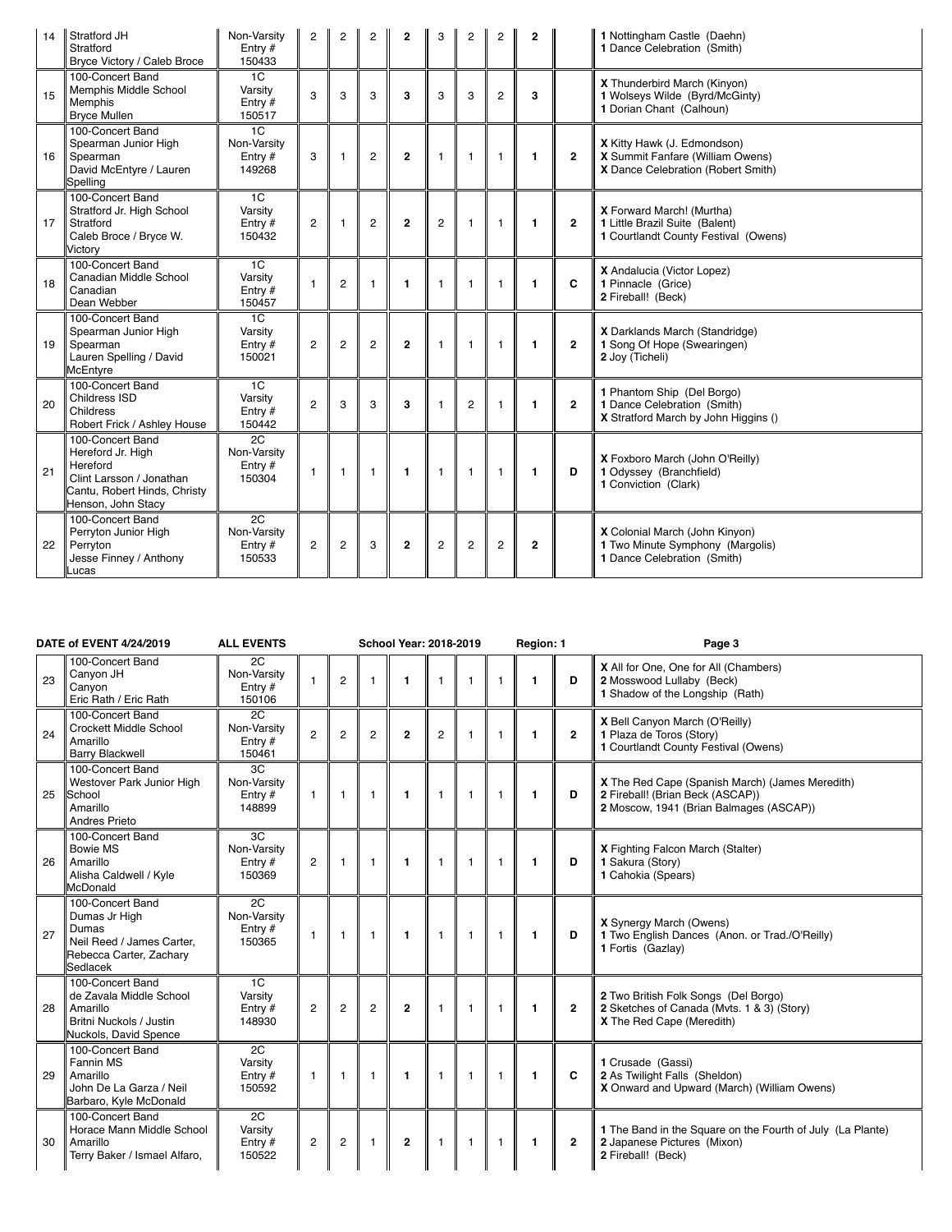| 14 | Stratford JH<br>Stratford<br>Bryce Victory / Caleb Broce                                                                            | Non-Varsity<br>Entry $#$<br>150433                    | 2              | 2              | 2              | $\mathbf{2}$   | 3              | 2              | 2              | $\mathbf{2}$ |                | 1 Nottingham Castle (Daehn)<br>1 Dance Celebration (Smith)                                            |
|----|-------------------------------------------------------------------------------------------------------------------------------------|-------------------------------------------------------|----------------|----------------|----------------|----------------|----------------|----------------|----------------|--------------|----------------|-------------------------------------------------------------------------------------------------------|
| 15 | 100-Concert Band<br>Memphis Middle School<br>Memphis<br><b>Brvce Mullen</b>                                                         | 1C<br>Varsity<br>Entry #<br>150517                    | 3              | 3              | 3              | 3              | 3              | 3              | $\overline{2}$ | 3            |                | X Thunderbird March (Kinyon)<br>1 Wolseys Wilde (Byrd/McGinty)<br>1 Dorian Chant (Calhoun)            |
| 16 | 100-Concert Band<br>Spearman Junior High<br>Spearman<br>David McEntyre / Lauren<br>Spelling                                         | 1 <sup>C</sup><br>Non-Varsity<br>Entry $#$<br>149268  | 3              | $\mathbf{1}$   | $\overline{c}$ | $\overline{2}$ | $\mathbf{1}$   | $\mathbf{1}$   | $\overline{1}$ | $\mathbf{1}$ | $\mathbf{2}$   | X Kitty Hawk (J. Edmondson)<br>X Summit Fanfare (William Owens)<br>X Dance Celebration (Robert Smith) |
| 17 | 100-Concert Band<br>Stratford Jr. High School<br>Stratford<br>Caleb Broce / Bryce W.<br>Victory                                     | 1 <sup>C</sup><br>Varsity<br>Entry $#$<br>150432      | $\overline{c}$ | $\mathbf{1}$   | $\overline{c}$ | $\mathbf{2}$   | $\overline{2}$ | $\mathbf{1}$   | $\mathbf{1}$   | $\mathbf{1}$ | $\overline{2}$ | X Forward March! (Murtha)<br>1 Little Brazil Suite (Balent)<br>1 Courtlandt County Festival (Owens)   |
| 18 | 100-Concert Band<br>Canadian Middle School<br>Canadian<br>Dean Webber                                                               | 1C<br>Varsity<br>Entry $#$<br>150457                  | $\overline{1}$ | $\overline{2}$ | $\mathbf{1}$   | $\mathbf{1}$   | $\mathbf{1}$   | $\mathbf{1}$   | $\mathbf{1}$   | $\mathbf{1}$ | C              | X Andalucia (Victor Lopez)<br>1 Pinnacle (Grice)<br>2 Fireball! (Beck)                                |
| 19 | 100-Concert Band<br>Spearman Junior High<br>Spearman<br>Lauren Spelling / David<br><b>McEntyre</b>                                  | 1 <sup>C</sup><br>Varsity<br>Entry $#$<br>150021      | $\overline{2}$ | $\overline{c}$ | $\overline{c}$ | $\mathbf{2}$   | $\mathbf{1}$   | $\mathbf{1}$   | $\mathbf{1}$   | $\mathbf{1}$ | $\mathbf{2}$   | X Darklands March (Standridge)<br>1 Song Of Hope (Swearingen)<br>2 Joy (Ticheli)                      |
| 20 | 100-Concert Band<br>Childress ISD<br>Childress<br>Robert Frick / Ashley House                                                       | $\overline{1C}$<br>Varsity<br>Entry $#$<br>150442     | $\overline{2}$ | 3              | 3              | 3              | $\mathbf{1}$   | $\overline{2}$ | -1             | 1            | $\overline{2}$ | 1 Phantom Ship (Del Borgo)<br>1 Dance Celebration (Smith)<br>X Stratford March by John Higgins ()     |
| 21 | 100-Concert Band<br>Hereford Jr. High<br>Hereford<br>Clint Larsson / Jonathan<br>Cantu, Robert Hinds, Christy<br>Henson, John Stacy | 2C<br>Non-Varsity<br>Entry $#$<br>150304              | $\overline{1}$ | $\mathbf{1}$   | $\mathbf{1}$   | 1              | $\mathbf{1}$   | $\mathbf{1}$   | -1             | $\mathbf{1}$ | D              | X Foxboro March (John O'Reilly)<br>1 Odyssey (Branchfield)<br>1 Conviction (Clark)                    |
| 22 | 100-Concert Band<br>Perryton Junior High<br>Perryton<br>Jesse Finney / Anthony<br>Lucas                                             | $\overline{2C}$<br>Non-Varsity<br>Entry $#$<br>150533 | $\overline{2}$ | $\overline{c}$ | 3              | $\overline{2}$ | $\overline{2}$ | $\overline{c}$ | $\overline{c}$ | $\mathbf{2}$ |                | X Colonial March (John Kinyon)<br>1 Two Minute Symphony (Margolis)<br>1 Dance Celebration (Smith)     |

|    | DATE of EVENT 4/24/2019                                                                                        | <b>ALL EVENTS</b>                                     |                |                |                | <b>School Year: 2018-2019</b> |                |              |                | Region: 1    |                | Page 3                                                                                                                         |
|----|----------------------------------------------------------------------------------------------------------------|-------------------------------------------------------|----------------|----------------|----------------|-------------------------------|----------------|--------------|----------------|--------------|----------------|--------------------------------------------------------------------------------------------------------------------------------|
| 23 | 100-Concert Band<br>Canyon JH<br>Canvon<br>Eric Rath / Eric Rath                                               | $\overline{2C}$<br>Non-Varsity<br>Entry $#$<br>150106 | $\mathbf{1}$   | $\mathbf{2}$   | $\mathbf{1}$   | $\mathbf{1}$                  | $\overline{1}$ | $\mathbf{1}$ | $\mathbf{1}$   | $\mathbf{1}$ | D              | X All for One, One for All (Chambers)<br>2 Mosswood Lullaby (Beck)<br>1 Shadow of the Longship (Rath)                          |
| 24 | 100-Concert Band<br>Crockett Middle School<br>Amarillo<br><b>Barry Blackwell</b>                               | 2C<br>Non-Varsity<br>Entry $#$<br>150461              | $\overline{2}$ | $\overline{2}$ | $\overline{2}$ | $\overline{2}$                | $\overline{2}$ | $\mathbf{1}$ | $\mathbf{1}$   | $\mathbf{1}$ | $\overline{2}$ | X Bell Canyon March (O'Reilly)<br>1 Plaza de Toros (Story)<br>1 Courtlandt County Festival (Owens)                             |
| 25 | 100-Concert Band<br>Westover Park Junior High<br>School<br>Amarillo<br><b>Andres Prieto</b>                    | 3C<br>Non-Varsity<br>Entry $#$<br>148899              | $\mathbf{1}$   | $\mathbf{1}$   | $\mathbf{1}$   | $\overline{1}$                | $\overline{1}$ | $\mathbf{1}$ | $\overline{1}$ | $\mathbf{1}$ | D              | X The Red Cape (Spanish March) (James Meredith)<br>2 Fireball! (Brian Beck (ASCAP))<br>2 Moscow, 1941 (Brian Balmages (ASCAP)) |
| 26 | 100-Concert Band<br>Bowie MS<br>Amarillo<br>Alisha Caldwell / Kyle<br><b>McDonald</b>                          | 3C<br>Non-Varsity<br>Entry $#$<br>150369              | $\overline{c}$ | 1              | $\mathbf{1}$   | $\mathbf{1}$                  | $\overline{1}$ | $\mathbf{1}$ | $\mathbf{1}$   | $\mathbf{1}$ | D              | X Fighting Falcon March (Stalter)<br>1 Sakura (Story)<br>1 Cahokia (Spears)                                                    |
| 27 | 100-Concert Band<br>Dumas Jr High<br>Dumas<br>Neil Reed / James Carter.<br>Rebecca Carter, Zachary<br>Sedlacek | 2C<br>Non-Varsity<br>Entry $#$<br>150365              | $\mathbf{1}$   | 1              | $\mathbf{1}$   | $\mathbf{1}$                  | $\overline{1}$ | $\mathbf{1}$ | $\overline{1}$ | $\mathbf{1}$ | D              | <b>X</b> Synergy March (Owens)<br>1 Two English Dances (Anon. or Trad./O'Reilly)<br>1 Fortis (Gazlay)                          |
| 28 | 100-Concert Band<br>de Zavala Middle School<br>Amarillo<br>Britni Nuckols / Justin<br>Nuckols, David Spence    | 1 <sup>C</sup><br>Varsity<br>Entry $#$<br>148930      | $\overline{c}$ | $\overline{2}$ | $\overline{2}$ | $\overline{2}$                | $\overline{1}$ | $\mathbf{1}$ | $\overline{1}$ | $\mathbf{1}$ | $\overline{2}$ | 2 Two British Folk Songs (Del Borgo)<br>2 Sketches of Canada (Mvts. 1 & 3) (Story)<br>X The Red Cape (Meredith)                |
| 29 | 100-Concert Band<br>Fannin MS<br>Amarillo<br>John De La Garza / Neil<br>Barbaro, Kyle McDonald                 | 2C<br>Varsity<br>Entry $#$<br>150592                  | $\mathbf{1}$   | 1              | $\overline{1}$ | $\mathbf{1}$                  | $\overline{1}$ | $\mathbf{1}$ | $\mathbf{1}$   | $\mathbf{1}$ | C              | 1 Crusade (Gassi)<br>2 As Twilight Falls (Sheldon)<br>X Onward and Upward (March) (William Owens)                              |
| 30 | 100-Concert Band<br>Horace Mann Middle School<br>Amarillo<br>Terry Baker / Ismael Alfaro,                      | $\overline{2C}$<br>Varsity<br>Entry $#$<br>150522     | $\overline{c}$ | $\overline{2}$ | $\mathbf{1}$   | $\overline{2}$                | $\overline{1}$ | $\mathbf{1}$ | $\overline{1}$ | $\mathbf{1}$ | $\overline{2}$ | 1 The Band in the Square on the Fourth of July (La Plante)<br>2 Japanese Pictures (Mixon)<br>2 Fireball! (Beck)                |